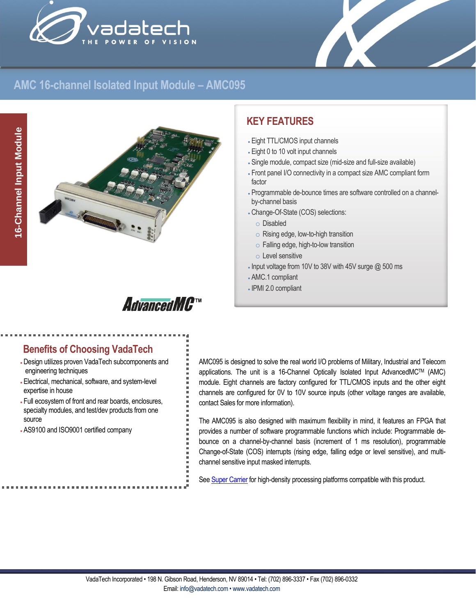



### **AMC 16-channel Isolated Input Module – AMC095**



## **KEY FEATURES**

- Eight TTL/CMOS input channels
- Eight 0 to 10 volt input channels
- Single module, compact size (mid-size and full-size available)
- Front panel I/O connectivity in a compact size AMC compliant form factor
- Programmable de-bounce times are software controlled on a channelby-channel basis
- Change-Of-State (COS) selections:
	- o Disabled
	- o Rising edge, low-to-high transition
	- o Falling edge, high-to-low transition
- o Level sensitive
- Input voltage from 10V to 38V with 45V surge @ 500 ms
- AMC.1 compliant
- IPMI 2.0 compliant

# **AdvancedMC**™

#### **Benefits of Choosing VadaTech**

- Design utilizes proven VadaTech subcomponents and engineering techniques
- Electrical, mechanical, software, and system-level expertise in house
- Full ecosystem of front and rear boards, enclosures, specialty modules, and test/dev products from one source
- AS9100 and ISO9001 certified company

AMC095 is designed to solve the real world I/O problems of Military, Industrial and Telecom applications. The unit is a 16-Channel Optically Isolated Input AdvancedMCTM (AMC) module. Eight channels are factory configured for TTL/CMOS inputs and the other eight channels are configured for 0V to 10V source inputs (other voltage ranges are available, contact Sales for more information).

The AMC095 is also designed with maximum flexibility in mind, it features an FPGA that provides a number of software programmable functions which include: Programmable debounce on a channel-by-channel basis (increment of 1 ms resolution), programmable Change-of-State (COS) interrupts (rising edge, falling edge or level sensitive), and multichannel sensitive input masked interrupts.

Se[e Super Carrier](https://www.vadatech.com/media/pdf_VT835_836_Brouchure.pdf) for high-density processing platforms compatible with this product.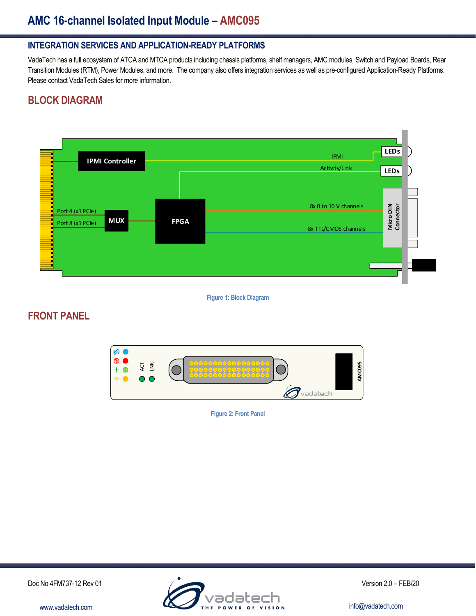## **AMC 16-channel Isolated Input Module – AMC095**

#### **INTEGRATION SERVICES AND APPLICATION-READY PLATFORMS**

VadaTech has a full ecosystem of ATCA and MTCA products including chassis platforms, shelf managers, AMC modules, Switch and Payload Boards, Rear Transition Modules (RTM), Power Modules, and more. The company also offers integration services as well as pre-configured Application-Ready Platforms. Please contact VadaTech Sales for more information.

#### **BLOCK DIAGRAM**



**Figure 1: Block Diagram**

#### **FRONT PANEL**



**Figure 2: Front Panel**

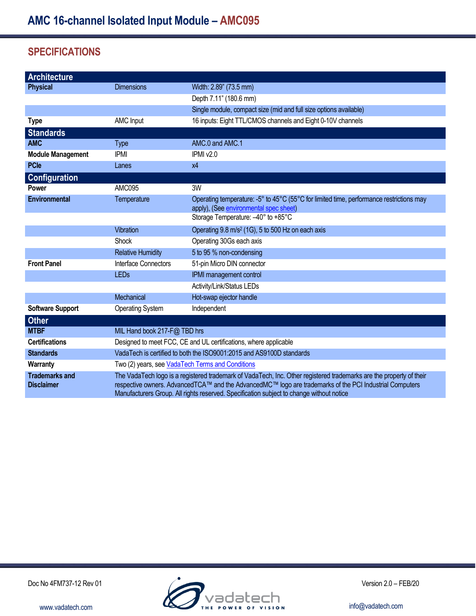### **SPECIFICATIONS**

| <b>Architecture</b>                        |                                                                                                                                                                                                                                |                                                                                          |
|--------------------------------------------|--------------------------------------------------------------------------------------------------------------------------------------------------------------------------------------------------------------------------------|------------------------------------------------------------------------------------------|
| <b>Physical</b>                            | <b>Dimensions</b>                                                                                                                                                                                                              | Width: 2.89" (73.5 mm)                                                                   |
|                                            |                                                                                                                                                                                                                                | Depth 7.11" (180.6 mm)                                                                   |
|                                            |                                                                                                                                                                                                                                | Single module, compact size (mid and full size options available)                        |
| <b>Type</b>                                | AMC Input                                                                                                                                                                                                                      | 16 inputs: Eight TTL/CMOS channels and Eight 0-10V channels                              |
| <b>Standards</b>                           |                                                                                                                                                                                                                                |                                                                                          |
| <b>AMC</b>                                 | <b>Type</b>                                                                                                                                                                                                                    | AMC.0 and AMC.1                                                                          |
| <b>Module Management</b>                   | <b>IPMI</b>                                                                                                                                                                                                                    | IPMI v2.0                                                                                |
| <b>PCle</b>                                | Lanes                                                                                                                                                                                                                          | x4                                                                                       |
| <b>Configuration</b>                       |                                                                                                                                                                                                                                |                                                                                          |
| Power                                      | AMC095                                                                                                                                                                                                                         | 3W                                                                                       |
| <b>Environmental</b>                       | Temperature                                                                                                                                                                                                                    | Operating temperature: -5° to 45°C (55°C for limited time, performance restrictions may  |
|                                            |                                                                                                                                                                                                                                | apply), (See environmental spec sheet)<br>Storage Temperature: -40° to +85°C             |
|                                            |                                                                                                                                                                                                                                |                                                                                          |
|                                            | Vibration                                                                                                                                                                                                                      | Operating 9.8 m/s <sup>2</sup> (1G), 5 to 500 Hz on each axis                            |
|                                            | Shock                                                                                                                                                                                                                          | Operating 30Gs each axis                                                                 |
|                                            | <b>Relative Humidity</b>                                                                                                                                                                                                       | 5 to 95 % non-condensing                                                                 |
| <b>Front Panel</b>                         | Interface Connectors                                                                                                                                                                                                           | 51-pin Micro DIN connector                                                               |
|                                            | <b>LEDs</b>                                                                                                                                                                                                                    | IPMI management control                                                                  |
|                                            |                                                                                                                                                                                                                                | Activity/Link/Status LEDs                                                                |
|                                            | Mechanical                                                                                                                                                                                                                     | Hot-swap ejector handle                                                                  |
| <b>Software Support</b>                    | <b>Operating System</b>                                                                                                                                                                                                        | Independent                                                                              |
| <b>Other</b>                               |                                                                                                                                                                                                                                |                                                                                          |
| <b>MTBF</b>                                | MIL Hand book 217-F@ TBD hrs                                                                                                                                                                                                   |                                                                                          |
| <b>Certifications</b>                      | Designed to meet FCC, CE and UL certifications, where applicable                                                                                                                                                               |                                                                                          |
| <b>Standards</b>                           | VadaTech is certified to both the ISO9001:2015 and AS9100D standards                                                                                                                                                           |                                                                                          |
| Warranty                                   | Two (2) years, see VadaTech Terms and Conditions                                                                                                                                                                               |                                                                                          |
| <b>Trademarks and</b><br><b>Disclaimer</b> | The VadaTech logo is a registered trademark of VadaTech, Inc. Other registered trademarks are the property of their<br>respective owners. AdvancedTCA™ and the AdvancedMC™ logo are trademarks of the PCI Industrial Computers |                                                                                          |
|                                            |                                                                                                                                                                                                                                | Manufacturers Group. All rights reserved. Specification subject to change without notice |